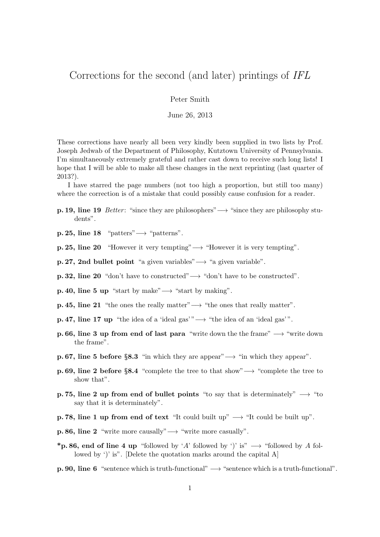## Corrections for the second (and later) printings of IFL

Peter Smith

June 26, 2013

These corrections have nearly all been very kindly been supplied in two lists by Prof. Joseph Jedwab of the Department of Philosophy, Kutztown University of Pennsylvania. I'm simultaneously extremely grateful and rather cast down to receive such long lists! I hope that I will be able to make all these changes in the next reprinting (last quarter of 2013?).

I have starred the page numbers (not too high a proportion, but still too many) where the correction is of a mistake that could possibly cause confusion for a reader.

- **p. 19, line 19** Better: "since they are philosophers"  $\rightarrow$  "since they are philosophy students".
- p. 25, line 18 "patters" $\longrightarrow$  "patterns".
- p. 25, line 20 "However it very tempting" → "However it is very tempting".
- p. 27, 2nd bullet point "a given variables" $\rightarrow$  "a given variable".
- p. 32, line 20 "don't have to constructed" → "don't have to be constructed".
- p. 40, line 5 up "start by make" $\longrightarrow$  "start by making".
- p. 45, line 21 "the ones the really matter" → "the ones that really matter".
- **p. 47, line 17 up** "the idea of a 'ideal gas'" $\rightarrow$  "the idea of an 'ideal gas'".
- p. 66, line 3 up from end of last para "write down the the frame"  $\longrightarrow$  "write down the frame".
- **p. 67, line 5 before §8.3** "in which they are appear" $\rightarrow$  "in which they appear".
- p. 69, line 2 before §8.4 "complete the tree to that show" → "complete the tree to show that".
- p. 75, line 2 up from end of bullet points "to say that is determinately"  $\rightarrow$  "to say that it is determinately".
- p. 78, line 1 up from end of text "It could built up"  $\rightarrow$  "It could be built up".
- p. 86, line 2 "write more causally" → "write more casually".
- \*p. 86, end of line 4 up "followed by 'A' followed by ')' is"  $\longrightarrow$  "followed by A followed by ')' is". [Delete the quotation marks around the capital A]
- **p. 90, line 6** "sentence which is truth-functional"  $\longrightarrow$  "sentence which is a truth-functional".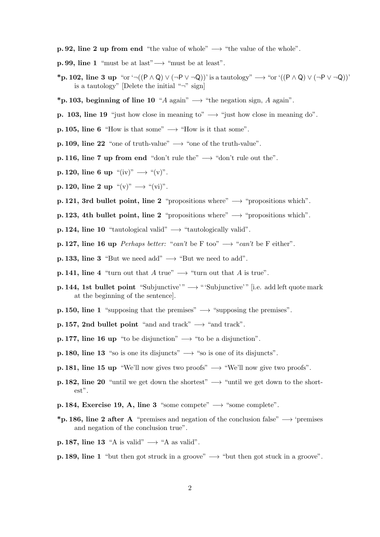**p. 92, line 2 up from end** "the value of whole"  $\rightarrow$  "the value of the whole".

- **p. 99, line 1** "must be at last" $\rightarrow$  "must be at least".
- \*p. 102, line 3 up "or '¬( $(P \wedge Q) \vee (\neg P \vee \neg Q)$ )' is a tautology"  $\longrightarrow$  "or '( $(P \wedge Q) \vee (\neg P \vee \neg Q)$ )' is a tautology" [Delete the initial " $\neg$ " sign]
- \*p. 103, beginning of line 10 "A again"  $\rightarrow$  "the negation sign, A again".
- **p. 103, line 19** "just how close in meaning to"  $\rightarrow$  "just how close in meaning do".
- **p. 105, line 6** "How is that some"  $\longrightarrow$  "How is it that some".
- **p. 109, line 22** "one of truth-value"  $\longrightarrow$  "one of the truth-value".
- p. 116, line 7 up from end "don't rule the"  $\longrightarrow$  "don't rule out the".
- p. 120, line 6 up "(iv)"  $\longrightarrow$  "(v)".
- p. 120, line 2 up " $(v)$ "  $\longrightarrow$  " $(vi)$ ".
- p. 121, 3rd bullet point, line 2 "propositions where"  $\rightarrow$  "propositions which".
- p. 123, 4th bullet point, line 2 "propositions where"  $\rightarrow$  "propositions which".
- p. 124, line 10 "tautological valid"  $\longrightarrow$  "tautologically valid".
- **p. 127, line 16 up** Perhaps better: "can't be F too"  $\longrightarrow$  "can't be F either".
- p. 133, line 3 "But we need add"  $\longrightarrow$  "But we need to add".
- **p. 141, line 4** "turn out that A true"  $\longrightarrow$  "turn out that A is true".
- **p. 144, 1st bullet point** "Subjunctive'"  $\rightarrow$  "'Subjunctive'" [i.e. add left quote mark at the beginning of the sentence].
- **p. 150, line 1** "supposing that the premises"  $\rightarrow$  "supposing the premises".
- p. 157, 2nd bullet point "and and track"  $\longrightarrow$  "and track".
- **p. 177, line 16 up** "to be disjunction"  $\rightarrow$  "to be a disjunction".
- **p. 180, line 13** "so is one its disjuncts"  $\rightarrow$  "so is one of its disjuncts".
- **p. 181, line 15 up** "We'll now gives two proofs"  $\rightarrow$  "We'll now give two proofs".
- **p. 182, line 20** "until we get down the shortest"  $\rightarrow$  "until we get down to the shortest".
- p. 184, Exercise 19, A, line 3 "some compete"  $\rightarrow$  "some complete".
- \*p. 186, line 2 after A "premises and negation of the conclusion false"  $\longrightarrow$  'premises and negation of the conclusion true".
- p. 187, line 13 "A is valid"  $\longrightarrow$  "A as valid".
- **p. 189, line 1** "but then got struck in a groove"  $\rightarrow$  "but then got stuck in a groove".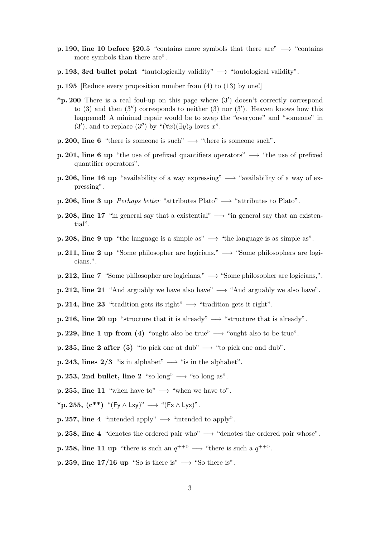- p. 190, line 10 before §20.5 "contains more symbols that there are"  $\rightarrow$  "contains" more symbols than there are".
- **p. 193, 3rd bullet point** "tautologically validity"  $\longrightarrow$  "tautological validity".
- p. 195 [Reduce every proposition number from (4) to (13) by one!]
- \*p. 200 There is a real foul-up on this page where  $(3')$  doesn't correctly correspond to  $(3)$  and then  $(3'')$  corresponds to neither  $(3)$  nor  $(3')$ . Heaven knows how this happened! A minimal repair would be to swap the "everyone" and "someone" in  $(3')$ , and to replace  $(3'')$  by " $(\forall x)(\exists y)y$  loves x".
- **p. 200, line 6** "there is someone is such"  $\rightarrow$  "there is someone such".
- **p. 201, line 6 up** "the use of prefixed quantifiers operators"  $\rightarrow$  "the use of prefixed quantifier operators".
- **p. 206, line 16 up** "availability of a way expressing"  $\rightarrow$  "availability of a way of expressing".
- p. 206, line 3 up *Perhaps better* "attributes Plato"  $\longrightarrow$  "attributes to Plato".
- **p. 208, line 17** "in general say that a existential"  $\rightarrow$  "in general say that an existential".
- **p. 208, line 9 up** "the language is a simple as"  $\rightarrow$  "the language is as simple as".
- **p. 211, line 2 up** "Some philosopher are logicians."  $\rightarrow$  "Some philosophers are logicians.".
- **p. 212, line 7** "Some philosopher are logicians,"  $\longrightarrow$  "Some philosopher are logicians,".
- **p. 212, line 21** "And arguably we have also have"  $\longrightarrow$  "And arguably we also have".
- p. 214, line 23 "tradition gets its right"  $\longrightarrow$  "tradition gets it right".
- p. 216, line 20 up "structure that it is already"  $\longrightarrow$  "structure that is already".
- p. 229, line 1 up from (4) "ought also be true"  $\rightarrow$  "ought also to be true".
- **p. 235, line 2 after (5)** "to pick one at dub"  $\longrightarrow$  "to pick one and dub".

p. 243, lines  $2/3$  "is in alphabet"  $\longrightarrow$  "is in the alphabet".

- p. 253, 2nd bullet, line 2 "so long"  $\rightarrow$  "so long as".
- **p. 255, line 11** "when have to"  $\longrightarrow$  "when we have to".

\*p. 255,  $(c^{**})$  " $(Fy \wedge Lxy)$ "  $\longrightarrow$  " $(Fx \wedge Lyx)$ ".

- **p. 257, line 4** "intended apply"  $\longrightarrow$  "intended to apply".
- p. 258, line 4 "denotes the ordered pair who"  $\longrightarrow$  "denotes the ordered pair whose".
- **p. 258, line 11 up** "there is such an  $q^{++}$ "  $\longrightarrow$  "there is such a  $q^{++}$ ".
- p. 259, line  $17/16$  up "So is there is"  $\rightarrow$  "So there is".